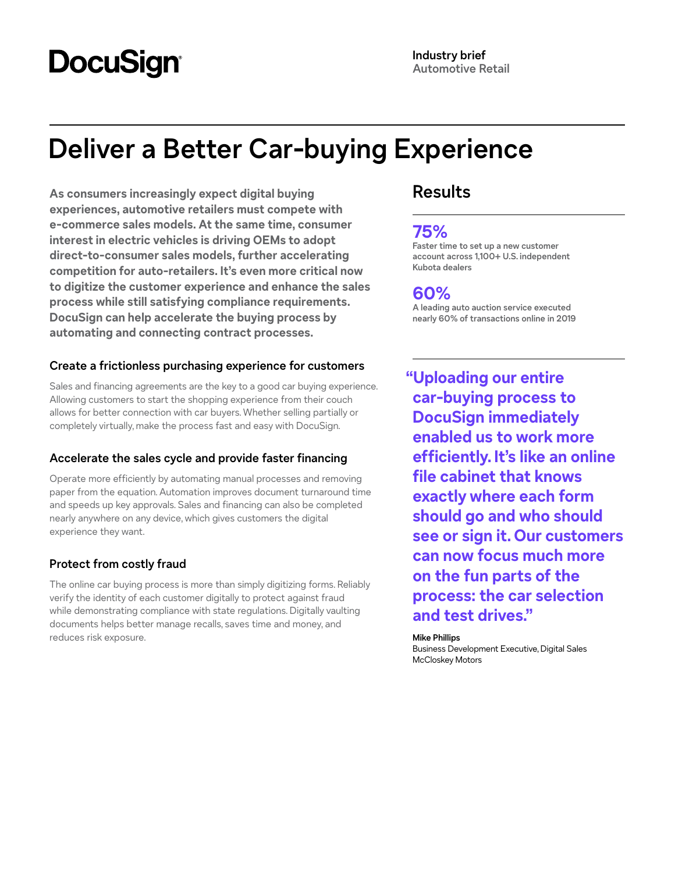# **DocuSign**

# **Deliver a Better Car-buying Experience**

**As consumers increasingly expect digital buying experiences, automotive retailers must compete with e-commerce sales models. At the same time, consumer interest in electric vehicles is driving OEMs to adopt direct-to-consumer sales models, further accelerating competition for auto-retailers. It's even more critical now to digitize the customer experience and enhance the sales process while still satisfying compliance requirements. DocuSign can help accelerate the buying process by automating and connecting contract processes.**

### **Create a frictionless purchasing experience for customers**

Sales and financing agreements are the key to a good car buying experience. Allowing customers to start the shopping experience from their couch allows for better connection with car buyers. Whether selling partially or completely virtually, make the process fast and easy with DocuSign.

## **Accelerate the sales cycle and provide faster financing**

Operate more efficiently by automating manual processes and removing paper from the equation. Automation improves document turnaround time and speeds up key approvals. Sales and financing can also be completed nearly anywhere on any device, which gives customers the digital experience they want.

## **Protect from costly fraud**

The online car buying process is more than simply digitizing forms. Reliably verify the identity of each customer digitally to protect against fraud while demonstrating compliance with state regulations. Digitally vaulting documents helps better manage recalls, saves time and money, and reduces risk exposure.

# **Results**

# **75%**

**Faster time to set up a new customer account across 1,100+ U.S. independent Kubota dealers**

## **60%**

**A leading auto auction service executed nearly 60% of transactions online in 2019**

**"Uploading our entire car-buying process to DocuSign immediately enabled us to work more efficiently. It's like an online file cabinet that knows exactly where each form should go and who should see or sign it. Our customers can now focus much more on the fun parts of the process: the car selection and test drives."**

#### **Mike Phillips**

Business Development Executive, Digital Sales McCloskey Motors